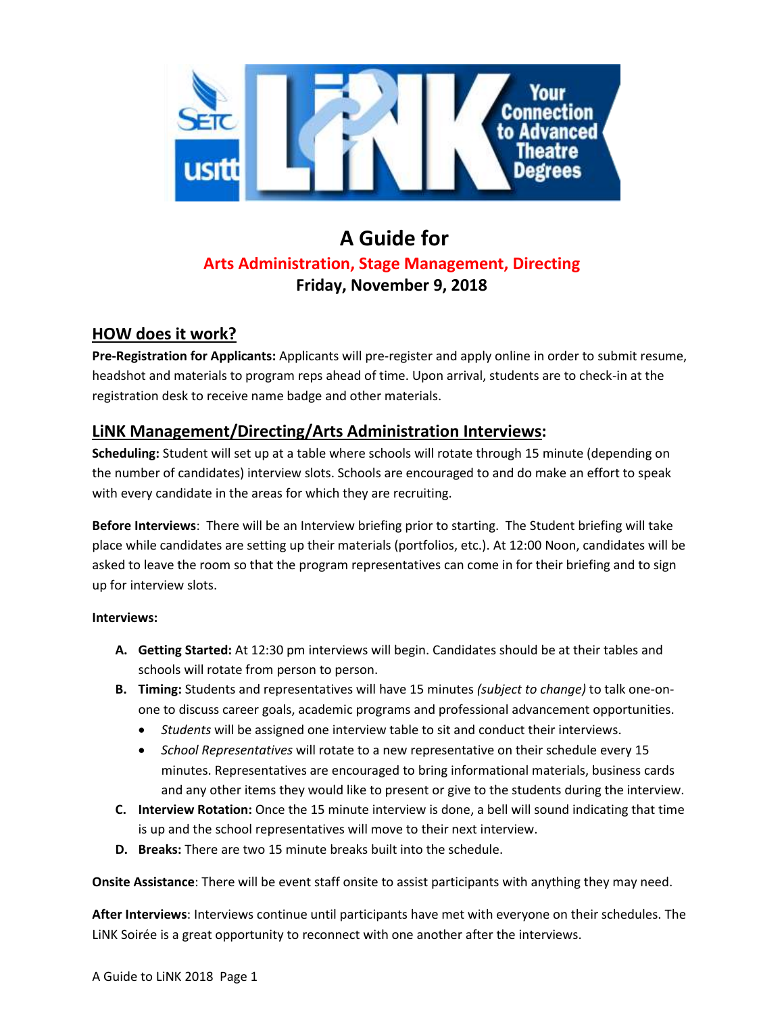

## **A Guide for Arts Administration, Stage Management, Directing Friday, November 9, 2018**

### **HOW does it work?**

**Pre-Registration for Applicants:** Applicants will pre-register and apply online in order to submit resume, headshot and materials to program reps ahead of time. Upon arrival, students are to check-in at the registration desk to receive name badge and other materials.

### **LiNK Management/Directing/Arts Administration Interviews:**

**Scheduling:** Student will set up at a table where schools will rotate through 15 minute (depending on the number of candidates) interview slots. Schools are encouraged to and do make an effort to speak with every candidate in the areas for which they are recruiting.

**Before Interviews**: There will be an Interview briefing prior to starting. The Student briefing will take place while candidates are setting up their materials (portfolios, etc.). At 12:00 Noon, candidates will be asked to leave the room so that the program representatives can come in for their briefing and to sign up for interview slots.

#### **Interviews:**

- **A. Getting Started:** At 12:30 pm interviews will begin. Candidates should be at their tables and schools will rotate from person to person.
- **B. Timing:** Students and representatives will have 15 minutes *(subject to change)* to talk one-onone to discuss career goals, academic programs and professional advancement opportunities.
	- *Students* will be assigned one interview table to sit and conduct their interviews.
	- *School Representatives* will rotate to a new representative on their schedule every 15 minutes. Representatives are encouraged to bring informational materials, business cards and any other items they would like to present or give to the students during the interview.
- **C. Interview Rotation:** Once the 15 minute interview is done, a bell will sound indicating that time is up and the school representatives will move to their next interview.
- **D. Breaks:** There are two 15 minute breaks built into the schedule.

**Onsite Assistance**: There will be event staff onsite to assist participants with anything they may need.

**After Interviews**: Interviews continue until participants have met with everyone on their schedules. The LiNK Soirée is a great opportunity to reconnect with one another after the interviews.